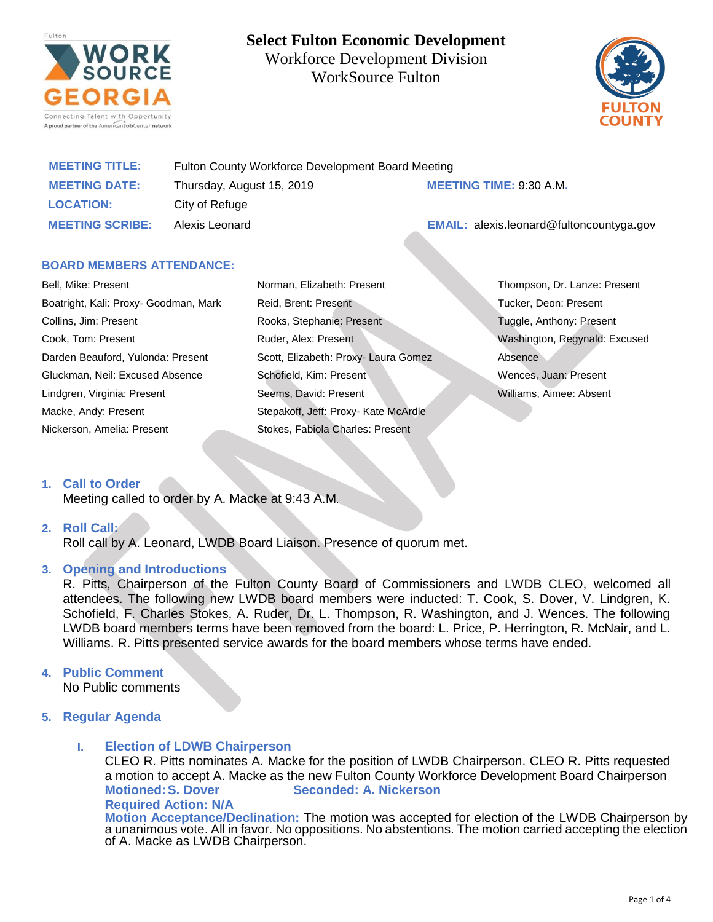

**Select Fulton Economic Development** Workforce Development Division WorkSource Fulton



| <b>MEETING TITLE:</b>  | Fulton County Workforce Development Board Meeting |                                                 |
|------------------------|---------------------------------------------------|-------------------------------------------------|
| <b>MEETING DATE:</b>   | Thursday, August 15, 2019                         | <b>MEETING TIME: 9:30 A.M.</b>                  |
| <b>LOCATION:</b>       | City of Refuge                                    |                                                 |
| <b>MEETING SCRIBE:</b> | Alexis Leonard                                    | <b>EMAIL:</b> alexis.leonard@fultoncountyga.gov |

# **BOARD MEMBERS ATTENDANCE:**

| Bell, Mike: Present                   |  |  |
|---------------------------------------|--|--|
| Boatright, Kali: Proxy- Goodman, Mark |  |  |
| Collins, Jim: Present                 |  |  |
| Cook, Tom: Present                    |  |  |
| Darden Beauford, Yulonda: Present     |  |  |
| Gluckman, Neil: Excused Absence       |  |  |
| Lindgren, Virginia: Present           |  |  |
| Macke, Andy: Present                  |  |  |
| Nickerson, Amelia: Present            |  |  |

Norman, Elizabeth: Present Reid, Brent: Present Rooks, Stephanie: Present Ruder, Alex: Present Scott, Elizabeth: Proxy- Laura Gomez Schofield, Kim: Present Seems, David: Present Stepakoff, Jeff: Proxy- Kate McArdle Stokes, Fabiola Charles: Present

Thompson, Dr. Lanze: Present Tucker, Deon: Present Tuggle, Anthony: Present Washington, Regynald: Excused Absence Wences, Juan: Present Williams, Aimee: Absent

# **1. Call to Order**

Meeting called to order by A. Macke at 9:43 A.M.

# **2. Roll Call:**

Roll call by A. Leonard, LWDB Board Liaison. Presence of quorum met.

# **3. Opening and Introductions**

R. Pitts, Chairperson of the Fulton County Board of Commissioners and LWDB CLEO, welcomed all attendees. The following new LWDB board members were inducted: T. Cook, S. Dover, V. Lindgren, K. Schofield, F. Charles Stokes, A. Ruder, Dr. L. Thompson, R. Washington, and J. Wences. The following LWDB board members terms have been removed from the board: L. Price, P. Herrington, R. McNair, and L. Williams. R. Pitts presented service awards for the board members whose terms have ended.

# **4. Public Comment**

No Public comments

# **5. Regular Agenda**

# **I. Election of LDWB Chairperson**

CLEO R. Pitts nominates A. Macke for the position of LWDB Chairperson. CLEO R. Pitts requested a motion to accept A. Macke as the new Fulton County Workforce Development Board Chairperson **Motioned:S. Dover Seconded: A. Nickerson**

#### **Required Action: N/A**

**Motion Acceptance/Declination:** The motion was accepted for election of the LWDB Chairperson by a unanimous vote. All in favor. No oppositions. No abstentions. The motion carried accepting the election of A. Macke as LWDB Chairperson.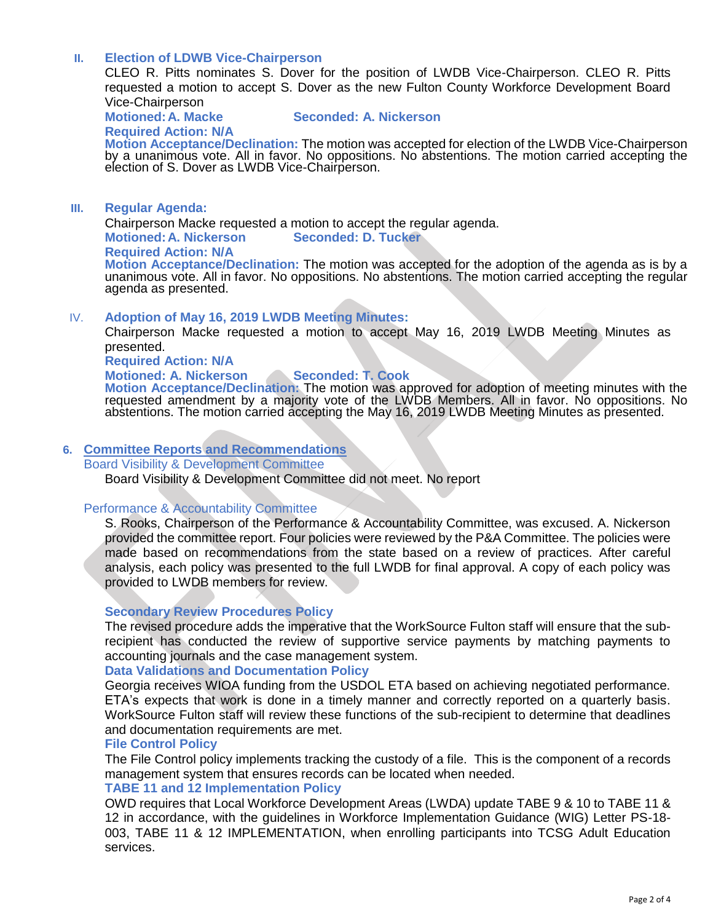# **II. Election of LDWB Vice-Chairperson**

CLEO R. Pitts nominates S. Dover for the position of LWDB Vice-Chairperson. CLEO R. Pitts requested a motion to accept S. Dover as the new Fulton County Workforce Development Board Vice-Chairperson

**Motioned:A. Macke Seconded: A. Nickerson**

**Required Action: N/A**

**Motion Acceptance/Declination:** The motion was accepted for election of the LWDB Vice-Chairperson by a unanimous vote. All in favor. No oppositions. No abstentions. The motion carried accepting the election of S. Dover as LWDB Vice-Chairperson.

### **III. Regular Agenda:**

Chairperson Macke requested a motion to accept the regular agenda.

**Motioned:A. Nickerson Seconded: D. Tucker**

#### **Required Action: N/A**

**Motion Acceptance/Declination:** The motion was accepted for the adoption of the agenda as is by a unanimous vote. All in favor. No oppositions. No abstentions. The motion carried accepting the regular agenda as presented.

# IV. **Adoption of May 16, 2019 LWDB Meeting Minutes:**

Chairperson Macke requested a motion to accept May 16, 2019 LWDB Meeting Minutes as presented.

**Required Action: N/A**

# **Motioned: A. Nickerson Seconded: T. Cook**

**Motion Acceptance/Declination:** The motion was approved for adoption of meeting minutes with the requested amendment by a majority vote of the LWDB Members. All in favor. No oppositions. No abstentions. The motion carried accepting the May 16, 2019 LWDB Meeting Minutes as presented.

### **6. Committee Reports and Recommendations**

#### Board Visibility & Development Committee

Board Visibility & Development Committee did not meet. No report

#### Performance & Accountability Committee

S. Rooks, Chairperson of the Performance & Accountability Committee, was excused. A. Nickerson provided the committee report. Four policies were reviewed by the P&A Committee. The policies were made based on recommendations from the state based on a review of practices. After careful analysis, each policy was presented to the full LWDB for final approval. A copy of each policy was provided to LWDB members for review.

# **Secondary Review Procedures Policy**

The revised procedure adds the imperative that the WorkSource Fulton staff will ensure that the subrecipient has conducted the review of supportive service payments by matching payments to accounting journals and the case management system.

#### **Data Validations and Documentation Policy**

Georgia receives WIOA funding from the USDOL ETA based on achieving negotiated performance. ETA's expects that work is done in a timely manner and correctly reported on a quarterly basis. WorkSource Fulton staff will review these functions of the sub-recipient to determine that deadlines and documentation requirements are met.

#### **File Control Policy**

The File Control policy implements tracking the custody of a file. This is the component of a records management system that ensures records can be located when needed.

# **TABE 11 and 12 Implementation Policy**

OWD requires that Local Workforce Development Areas (LWDA) update TABE 9 & 10 to TABE 11 & 12 in accordance, with the guidelines in Workforce Implementation Guidance (WIG) Letter PS-18- 003, TABE 11 & 12 IMPLEMENTATION, when enrolling participants into TCSG Adult Education services.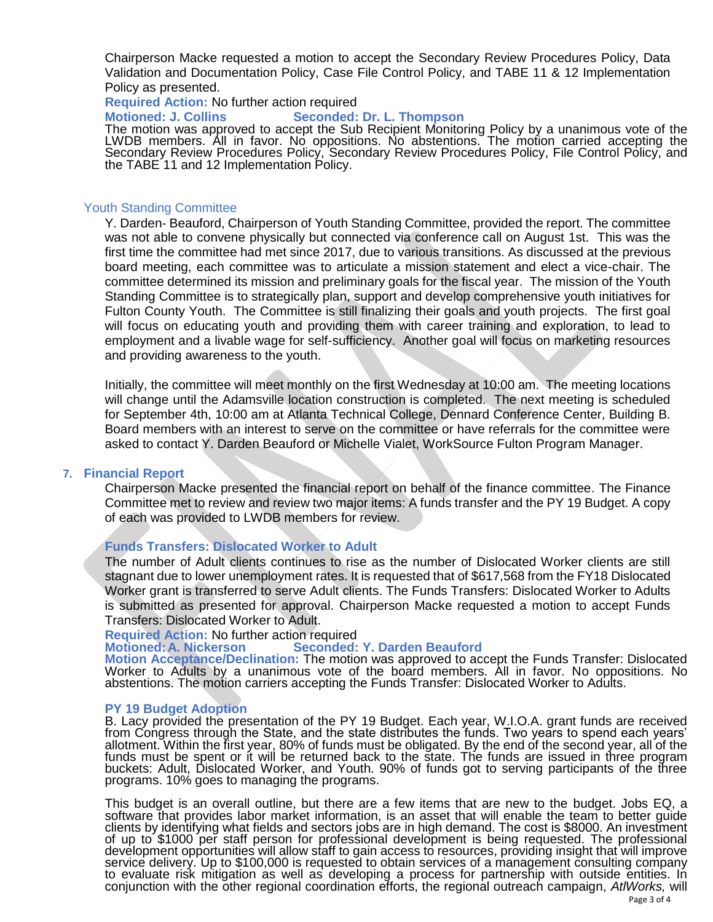Chairperson Macke requested a motion to accept the Secondary Review Procedures Policy, Data Validation and Documentation Policy, Case File Control Policy, and TABE 11 & 12 Implementation Policy as presented.

**Required Action:** No further action required

**Motioned: J. Collins Seconded: Dr. L. Thompson**

The motion was approved to accept the Sub Recipient Monitoring Policy by a unanimous vote of the LWDB members. All in favor. No oppositions. No abstentions. The motion carried accepting the Secondary Review Procedures Policy, Secondary Review Procedures Policy, File Control Policy, and the TABE 11 and 12 Implementation Policy.

# Youth Standing Committee

Y. Darden- Beauford, Chairperson of Youth Standing Committee, provided the report. The committee was not able to convene physically but connected via conference call on August 1st. This was the first time the committee had met since 2017, due to various transitions. As discussed at the previous board meeting, each committee was to articulate a mission statement and elect a vice-chair. The committee determined its mission and preliminary goals for the fiscal year. The mission of the Youth Standing Committee is to strategically plan, support and develop comprehensive youth initiatives for Fulton County Youth. The Committee is still finalizing their goals and youth projects. The first goal will focus on educating youth and providing them with career training and exploration, to lead to employment and a livable wage for self-sufficiency. Another goal will focus on marketing resources and providing awareness to the youth.

Initially, the committee will meet monthly on the first Wednesday at 10:00 am. The meeting locations will change until the Adamsville location construction is completed. The next meeting is scheduled for September 4th, 10:00 am at Atlanta Technical College, Dennard Conference Center, Building B. Board members with an interest to serve on the committee or have referrals for the committee were asked to contact Y. Darden Beauford or Michelle Vialet, WorkSource Fulton Program Manager.

#### **7. Financial Report**

Chairperson Macke presented the financial report on behalf of the finance committee. The Finance Committee met to review and review two major items: A funds transfer and the PY 19 Budget. A copy of each was provided to LWDB members for review.

#### **Funds Transfers: Dislocated Worker to Adult**

The number of Adult clients continues to rise as the number of Dislocated Worker clients are still stagnant due to lower unemployment rates. It is requested that of \$617,568 from the FY18 Dislocated Worker grant is transferred to serve Adult clients. The Funds Transfers: Dislocated Worker to Adults is submitted as presented for approval. Chairperson Macke requested a motion to accept Funds Transfers: Dislocated Worker to Adult.

# **Required Action:** No further action required

#### **Seconded: Y. Darden Beauford**

**Motion Acceptance/Declination:** The motion was approved to accept the Funds Transfer: Dislocated Worker to Adults by a unanimous vote of the board members. All in favor. No oppositions. No abstentions. The motion carriers accepting the Funds Transfer: Dislocated Worker to Adults.

#### **PY 19 Budget Adoption**

B. Lacy provided the presentation of the PY 19 Budget. Each year, W.I.O.A. grant funds are received from Congress through the State, and the state distributes the funds. Two years to spend each years' allotment. Within the first year, 80% of funds must be obligated. By the end of the second year, all of the funds must be spent or it will be returned back to the state. The funds are issued in three program buckets: Adult, Dislocated Worker, and Youth. 90% of funds got to serving participants of the three programs. 10% goes to managing the programs.

This budget is an overall outline, but there are a few items that are new to the budget. Jobs EQ, a software that provides labor market information, is an asset that will enable the team to better guide clients by identifying what fields and sectors jobs are in high demand. The cost is \$8000. An investment of up to \$1000 per staff person for professional development is being requested. The professional development opportunities will allow staff to gain access to resources, providing insight that will improve service delivery. Up to \$100,000 is requested to obtain services of a management consulting company to evaluate risk mitigation as well as developing a process for partnership with outside entities. In conjunction with the other regional coordination efforts, the regional outreach campaign, *AtlWorks,* will